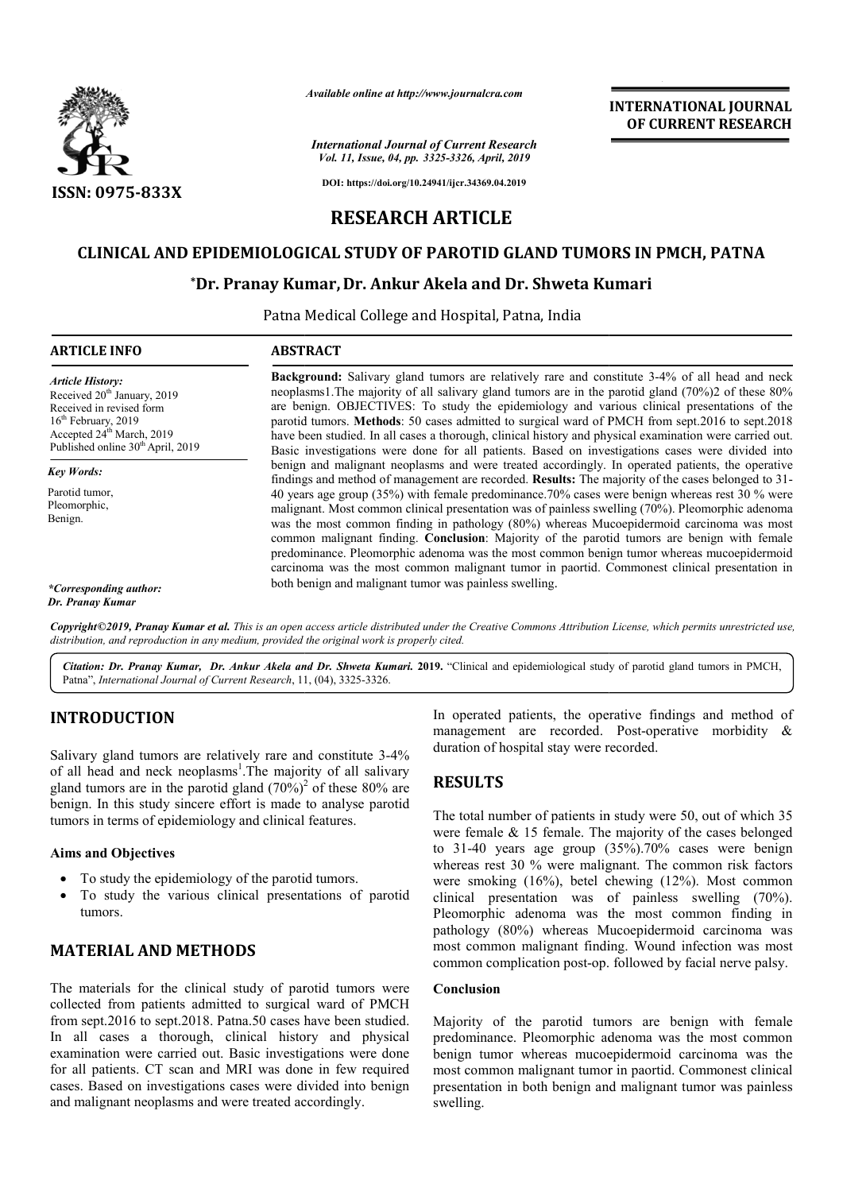

*Available online at http://www.journalcra.com*

# CLINICAL AND EPIDEMIOLOGICAL STUDY OF PAROTID GLAND TUMORS IN PMCH, PATNA<br>Dr. Pranay Kumar, Dr. Ankur Akela and Dr. Shweta Kumari\*

## **\*Dr. Pranay Kumar Dr. Kumar, Dr. Ankur Akela and Dr. Shweta Kumari**

|                                                                                                                                                                                                                                                                                                                                                                                                                                                     | лтините опине игнир.//www.journaicra.com                                                                                                                                                                                                                                                                                                                                                                                                                                                                                                                                                                              |                                                                                                                                                                                                                             | <b>INTERNATIONAL JOURNAL</b><br>OF CURRENT RESEARCH                                                                                                                                                                                                                                                   |
|-----------------------------------------------------------------------------------------------------------------------------------------------------------------------------------------------------------------------------------------------------------------------------------------------------------------------------------------------------------------------------------------------------------------------------------------------------|-----------------------------------------------------------------------------------------------------------------------------------------------------------------------------------------------------------------------------------------------------------------------------------------------------------------------------------------------------------------------------------------------------------------------------------------------------------------------------------------------------------------------------------------------------------------------------------------------------------------------|-----------------------------------------------------------------------------------------------------------------------------------------------------------------------------------------------------------------------------|-------------------------------------------------------------------------------------------------------------------------------------------------------------------------------------------------------------------------------------------------------------------------------------------------------|
|                                                                                                                                                                                                                                                                                                                                                                                                                                                     | <b>International Journal of Current Research</b><br>Vol. 11, Issue, 04, pp. 3325-3326, April, 2019                                                                                                                                                                                                                                                                                                                                                                                                                                                                                                                    |                                                                                                                                                                                                                             |                                                                                                                                                                                                                                                                                                       |
| ISSN: 0975-833X                                                                                                                                                                                                                                                                                                                                                                                                                                     |                                                                                                                                                                                                                                                                                                                                                                                                                                                                                                                                                                                                                       | DOI: https://doi.org/10.24941/ijcr.34369.04.2019                                                                                                                                                                            |                                                                                                                                                                                                                                                                                                       |
|                                                                                                                                                                                                                                                                                                                                                                                                                                                     | <b>RESEARCH ARTICLE</b>                                                                                                                                                                                                                                                                                                                                                                                                                                                                                                                                                                                               |                                                                                                                                                                                                                             |                                                                                                                                                                                                                                                                                                       |
|                                                                                                                                                                                                                                                                                                                                                                                                                                                     | CLINICAL AND EPIDEMIOLOGICAL STUDY OF PAROTID GLAND TUMORS IN PMCH, PATNA                                                                                                                                                                                                                                                                                                                                                                                                                                                                                                                                             |                                                                                                                                                                                                                             |                                                                                                                                                                                                                                                                                                       |
|                                                                                                                                                                                                                                                                                                                                                                                                                                                     | *Dr. Pranay Kumar, Dr. Ankur Akela and Dr. Shweta Kumari                                                                                                                                                                                                                                                                                                                                                                                                                                                                                                                                                              |                                                                                                                                                                                                                             |                                                                                                                                                                                                                                                                                                       |
|                                                                                                                                                                                                                                                                                                                                                                                                                                                     |                                                                                                                                                                                                                                                                                                                                                                                                                                                                                                                                                                                                                       | Patna Medical College and Hospital, Patna, India                                                                                                                                                                            |                                                                                                                                                                                                                                                                                                       |
| <b>ARTICLE INFO</b>                                                                                                                                                                                                                                                                                                                                                                                                                                 | <b>ABSTRACT</b>                                                                                                                                                                                                                                                                                                                                                                                                                                                                                                                                                                                                       |                                                                                                                                                                                                                             |                                                                                                                                                                                                                                                                                                       |
| <b>Article History:</b><br>Received 20 <sup>th</sup> January, 2019<br>Received in revised form<br>16 <sup>th</sup> February, 2019<br>Accepted 24 <sup>th</sup> March, 2019<br>Published online 30 <sup>th</sup> April, 2019                                                                                                                                                                                                                         | Background: Salivary gland tumors are relatively rare and constitute 3-4% of all head and neck<br>neoplasms1. The majority of all salivary gland tumors are in the parotid gland (70%)2 of these 80%<br>are benign. OBJECTIVES: To study the epidemiology and various clinical presentations of the<br>parotid tumors. Methods: 50 cases admitted to surgical ward of PMCH from sept.2016 to sept.2018<br>have been studied. In all cases a thorough, clinical history and physical examination were carried out.<br>Basic investigations were done for all patients. Based on investigations cases were divided into |                                                                                                                                                                                                                             |                                                                                                                                                                                                                                                                                                       |
| <b>Key Words:</b>                                                                                                                                                                                                                                                                                                                                                                                                                                   |                                                                                                                                                                                                                                                                                                                                                                                                                                                                                                                                                                                                                       |                                                                                                                                                                                                                             | benign and malignant neoplasms and were treated accordingly. In operated patients, the operative<br>findings and method of management are recorded. Results: The majority of the cases belonged to 31-                                                                                                |
| Parotid tumor,<br>Pleomorphic,<br>Benign.                                                                                                                                                                                                                                                                                                                                                                                                           | 40 years age group (35%) with female predominance.70% cases were benign whereas rest 30 % were<br>malignant. Most common clinical presentation was of painless swelling (70%). Pleomorphic adenoma<br>was the most common finding in pathology (80%) whereas Mucoepidermoid carcinoma was most<br>common malignant finding. Conclusion: Majority of the parotid tumors are benign with female<br>predominance. Pleomorphic adenoma was the most common benign tumor whereas mucoepidermoid<br>carcinoma was the most common malignant tumor in paortid. Commonest clinical presentation in                            |                                                                                                                                                                                                                             |                                                                                                                                                                                                                                                                                                       |
| *Corresponding author:<br>Dr. Pranay Kumar                                                                                                                                                                                                                                                                                                                                                                                                          | both benign and malignant tumor was painless swelling.                                                                                                                                                                                                                                                                                                                                                                                                                                                                                                                                                                |                                                                                                                                                                                                                             |                                                                                                                                                                                                                                                                                                       |
|                                                                                                                                                                                                                                                                                                                                                                                                                                                     | distribution, and reproduction in any medium, provided the original work is properly cited.                                                                                                                                                                                                                                                                                                                                                                                                                                                                                                                           |                                                                                                                                                                                                                             | Copyright©2019, Pranay Kumar et al. This is an open access article distributed under the Creative Commons Attribution License, which permits unrestricted use,                                                                                                                                        |
| Patna", International Journal of Current Research, 11, (04), 3325-3326.                                                                                                                                                                                                                                                                                                                                                                             | Citation: Dr. Pranay Kumar, Dr. Ankur Akela and Dr. Shweta Kumari. 2019. "Clinical and epidemiological study of parotid gland tumors in PMCH,                                                                                                                                                                                                                                                                                                                                                                                                                                                                         |                                                                                                                                                                                                                             |                                                                                                                                                                                                                                                                                                       |
| <b>INTRODUCTION</b><br>Salivary gland tumors are relatively rare and constitute 3-4%<br>of all head and neck neoplasms <sup>1</sup> . The majority of all salivary<br>gland tumors are in the parotid gland $(70\%)^2$ of these 80% are<br>benign. In this study sincere effort is made to analyse parotid<br>tumors in terms of epidemiology and clinical features.                                                                                |                                                                                                                                                                                                                                                                                                                                                                                                                                                                                                                                                                                                                       | duration of hospital stay were recorded.                                                                                                                                                                                    | In operated patients, the operative findings and method of<br>management are recorded. Post-operative morbidity &                                                                                                                                                                                     |
|                                                                                                                                                                                                                                                                                                                                                                                                                                                     |                                                                                                                                                                                                                                                                                                                                                                                                                                                                                                                                                                                                                       | <b>RESULTS</b>                                                                                                                                                                                                              |                                                                                                                                                                                                                                                                                                       |
|                                                                                                                                                                                                                                                                                                                                                                                                                                                     |                                                                                                                                                                                                                                                                                                                                                                                                                                                                                                                                                                                                                       | The total number of patients in study were 50, out of which 35<br>were female $\&$ 15 female. The majority of the cases belonged                                                                                            |                                                                                                                                                                                                                                                                                                       |
| <b>Aims and Objectives</b>                                                                                                                                                                                                                                                                                                                                                                                                                          |                                                                                                                                                                                                                                                                                                                                                                                                                                                                                                                                                                                                                       |                                                                                                                                                                                                                             | to 31-40 years age group (35%).70% cases were benign<br>whereas rest 30 % were malignant. The common risk factors                                                                                                                                                                                     |
| To study the epidemiology of the parotid tumors.<br>tumors.                                                                                                                                                                                                                                                                                                                                                                                         | To study the various clinical presentations of parotid                                                                                                                                                                                                                                                                                                                                                                                                                                                                                                                                                                | were smoking (16%), betel chewing (12%). Most common<br>clinical presentation was of painless swelling (70%).<br>Pleomorphic adenoma was the most common finding in<br>pathology (80%) whereas Mucoepidermoid carcinoma was |                                                                                                                                                                                                                                                                                                       |
| <b>MATERIAL AND METHODS</b>                                                                                                                                                                                                                                                                                                                                                                                                                         |                                                                                                                                                                                                                                                                                                                                                                                                                                                                                                                                                                                                                       | most common malignant finding. Wound infection was most<br>common complication post-op. followed by facial nerve palsy.                                                                                                     |                                                                                                                                                                                                                                                                                                       |
| The materials for the clinical study of parotid tumors were<br>collected from patients admitted to surgical ward of PMCH<br>from sept.2016 to sept.2018. Patna.50 cases have been studied.<br>In all cases a thorough, clinical history and physical<br>examination were carried out. Basic investigations were done<br>for all patients. CT scan and MRI was done in few required<br>cases. Based on investigations cases were divided into benign |                                                                                                                                                                                                                                                                                                                                                                                                                                                                                                                                                                                                                       | Conclusion                                                                                                                                                                                                                  | Majority of the parotid tumors are benign with female<br>predominance. Pleomorphic adenoma was the most common<br>benign tumor whereas mucoepidermoid carcinoma was the<br>most common malignant tumor in paortid. Commonest clinical<br>presentation in both benign and malignant tumor was painless |

## **INTRODUCTION**

#### **Aims and Objectives**

- To study the epidemiology of the parotid tumors.
- To study the various clinical presentations of parotid tumors.

## **MATERIAL AND METHODS**

The materials for the clinical study of parotid tumors were collected from patients admitted to surgical ward of PMCH from sept.2016 to sept.2018. Patna.50 cases have been studied. In all cases a thorough, clinical history and physical examination were carried out. Basic investigations were done for all patients. CT scan and MRI was done in few required cases. Based on investigations cases were divided into benign and malignant neoplasms and were treated accordingly.

# **RESULTS**

#### **Conclusion**

Majority of the parotid tumors are benign with female predominance. Pleomorphic adenoma was the most common benign tumor whereas mucoepidermoid carcinoma was the Majority of the parotid tumors are benign with female predominance. Pleomorphic adenoma was the most common benign tumor whereas mucoepidermoid carcinoma was the most common malignant tumor in paortid. Commonest clinical presentation in both benign and malignant tumor was painless swelling.